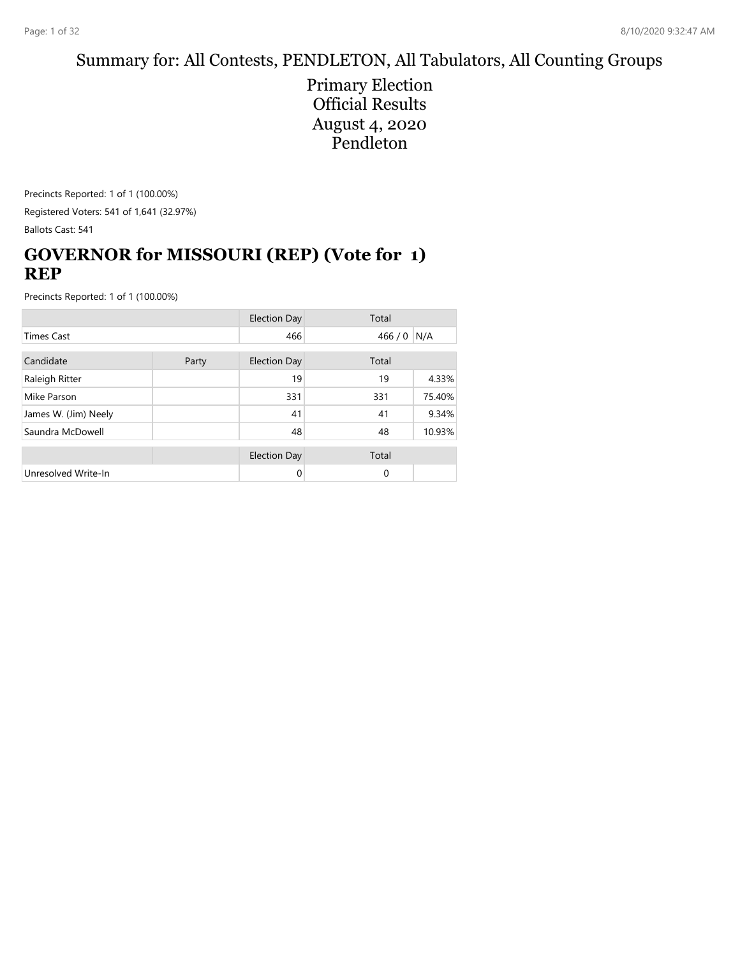## Summary for: All Contests, PENDLETON, All Tabulators, All Counting Groups

Primary Election Official Results August 4, 2020 Pendleton

Precincts Reported: 1 of 1 (100.00%) Registered Voters: 541 of 1,641 (32.97%) Ballots Cast: 541

## **GOVERNOR for MISSOURI (REP) (Vote for 1) REP**

|                      |  | <b>Election Day</b> | Total    |        |
|----------------------|--|---------------------|----------|--------|
| <b>Times Cast</b>    |  | 466                 | 466/0    | N/A    |
| Candidate<br>Party   |  | <b>Election Day</b> | Total    |        |
| Raleigh Ritter       |  | 19                  | 19       | 4.33%  |
| Mike Parson          |  | 331                 | 331      | 75.40% |
| James W. (Jim) Neely |  | 41                  | 41       | 9.34%  |
| Saundra McDowell     |  | 48                  | 48       | 10.93% |
|                      |  | <b>Election Day</b> | Total    |        |
| Unresolved Write-In  |  | 0                   | $\Omega$ |        |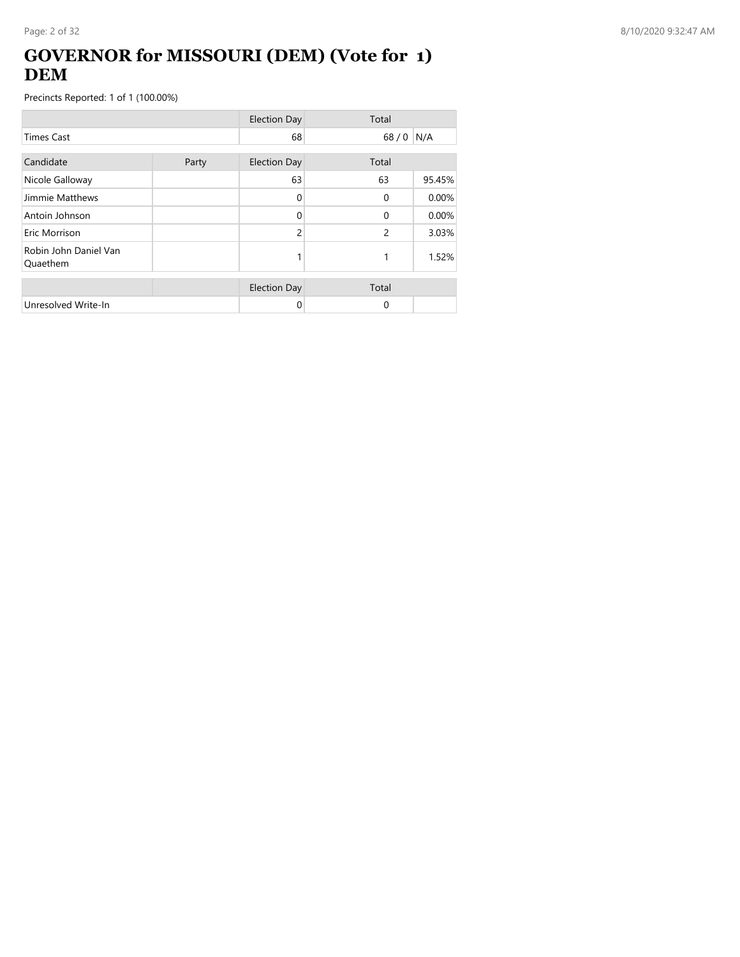### **GOVERNOR for MISSOURI (DEM) (Vote for 1) DEM**

|                                   |       | <b>Election Day</b> | Total          |        |
|-----------------------------------|-------|---------------------|----------------|--------|
| <b>Times Cast</b>                 |       | 68                  | 68/0           | N/A    |
| Candidate                         | Party | <b>Election Day</b> | Total          |        |
| Nicole Galloway                   |       | 63                  | 63             | 95.45% |
| Jimmie Matthews                   |       | 0                   | $\Omega$       | 0.00%  |
| Antoin Johnson                    |       | 0                   | $\Omega$       | 0.00%  |
| Eric Morrison                     |       | $\overline{c}$      | $\overline{c}$ | 3.03%  |
| Robin John Daniel Van<br>Quaethem |       |                     | 1              | 1.52%  |
|                                   |       | <b>Election Day</b> | Total          |        |
| Unresolved Write-In               |       | 0                   | 0              |        |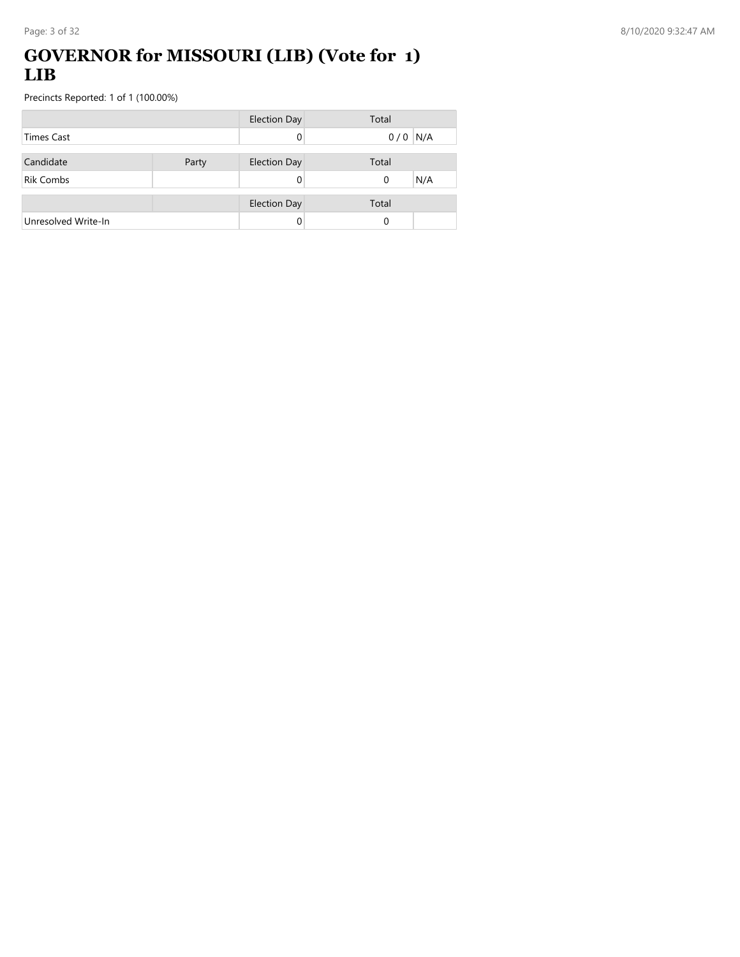## **GOVERNOR for MISSOURI (LIB) (Vote for 1) LIB**

|                     |       | <b>Election Day</b> | Total |           |
|---------------------|-------|---------------------|-------|-----------|
| Times Cast          |       | 0                   |       | $0/0$ N/A |
|                     |       |                     |       |           |
| Candidate           | Party | <b>Election Day</b> | Total |           |
| <b>Rik Combs</b>    |       | 0                   | 0     | N/A       |
|                     |       |                     |       |           |
|                     |       | <b>Election Day</b> | Total |           |
| Unresolved Write-In |       |                     | 0     |           |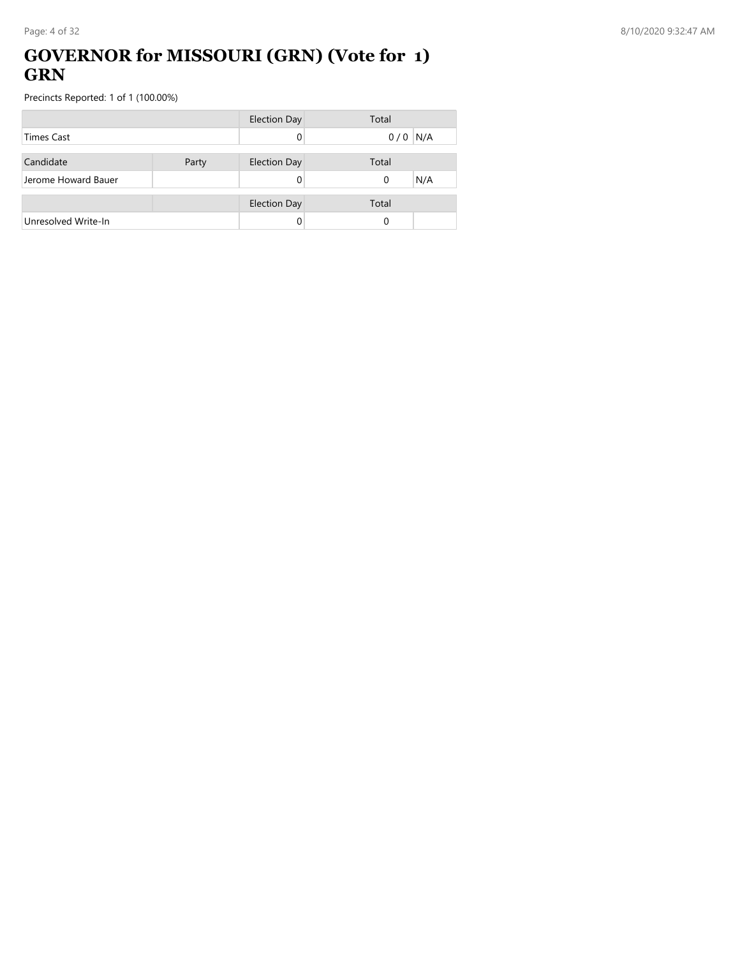### **GOVERNOR for MISSOURI (GRN) (Vote for 1) GRN**

|                     |       | <b>Election Day</b> | Total           |
|---------------------|-------|---------------------|-----------------|
| <b>Times Cast</b>   |       |                     | N/A<br>0/0      |
|                     |       |                     |                 |
| Candidate           | Party | <b>Election Day</b> | Total           |
| Jerome Howard Bauer |       |                     | N/A<br>$\Omega$ |
|                     |       |                     |                 |
|                     |       | <b>Election Day</b> | Total           |
| Unresolved Write-In |       |                     | 0               |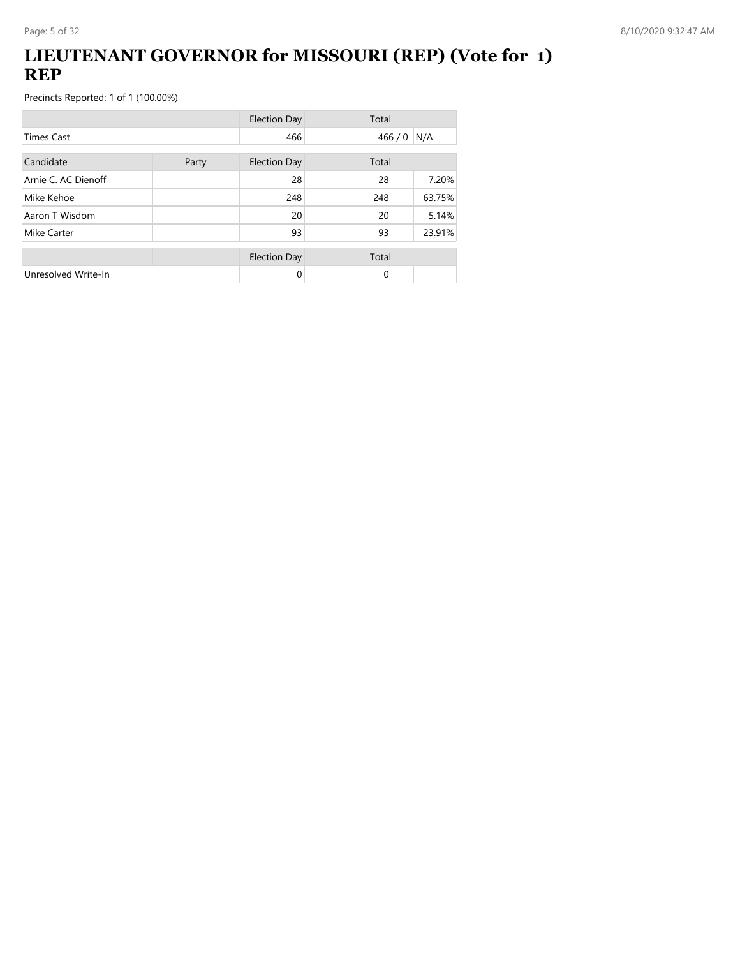### **LIEUTENANT GOVERNOR for MISSOURI (REP) (Vote for 1) REP**

|                     |       | <b>Election Day</b> | Total       |        |
|---------------------|-------|---------------------|-------------|--------|
| <b>Times Cast</b>   |       | 466                 | 466 / 0 N/A |        |
| Candidate           | Party | <b>Election Day</b> | Total       |        |
| Arnie C. AC Dienoff |       | 28                  | 28          | 7.20%  |
| Mike Kehoe          |       | 248                 | 248         | 63.75% |
| Aaron T Wisdom      |       | 20                  | 20          | 5.14%  |
| Mike Carter         |       | 93                  | 93          | 23.91% |
|                     |       | <b>Election Day</b> | Total       |        |
| Unresolved Write-In |       | 0                   | $\Omega$    |        |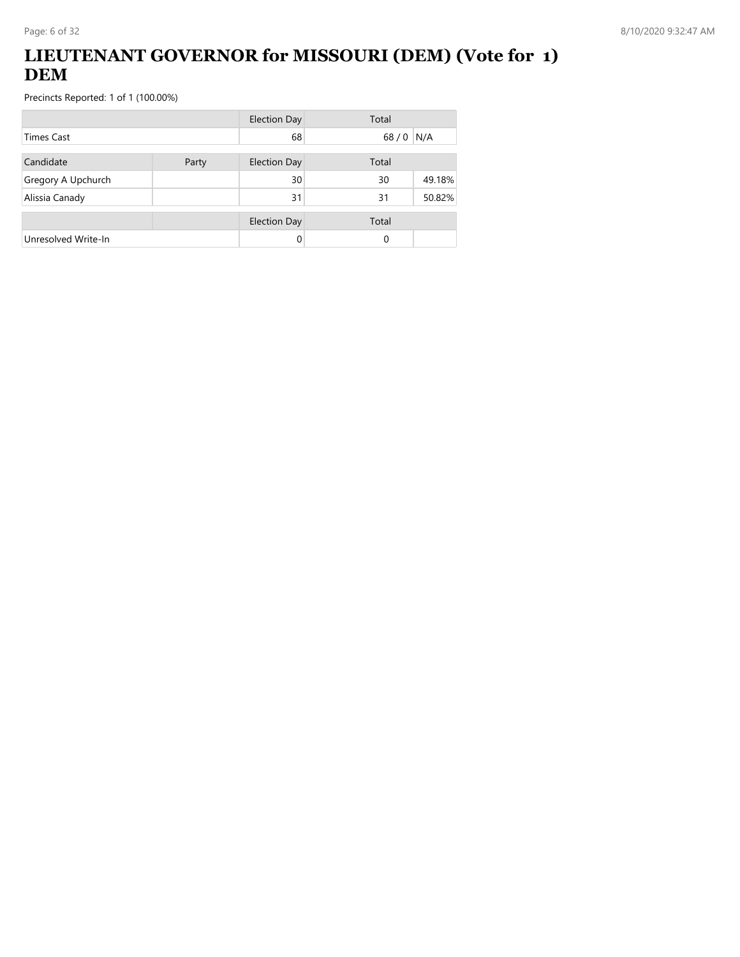## **LIEUTENANT GOVERNOR for MISSOURI (DEM) (Vote for 1) DEM**

|                     |       | <b>Election Day</b> | Total  |        |
|---------------------|-------|---------------------|--------|--------|
| <b>Times Cast</b>   |       | 68                  | $68/0$ | N/A    |
| Candidate           | Party | <b>Election Day</b> | Total  |        |
| Gregory A Upchurch  |       | 30                  | 30     | 49.18% |
| Alissia Canady      |       | 31                  | 31     | 50.82% |
|                     |       | <b>Election Day</b> | Total  |        |
| Unresolved Write-In |       |                     | 0      |        |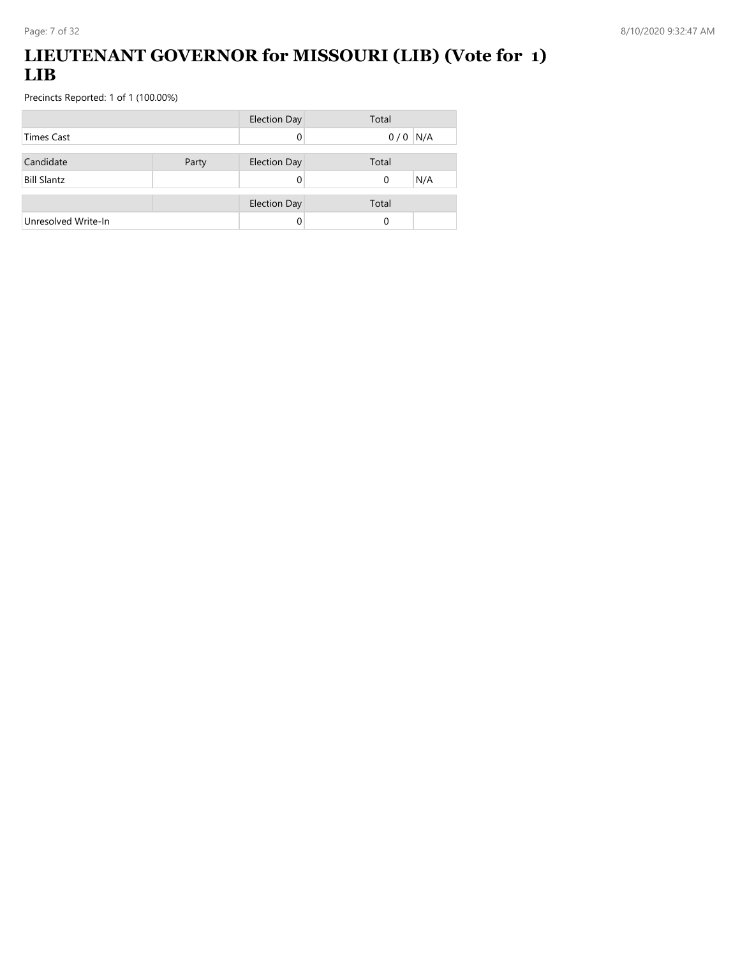## **LIEUTENANT GOVERNOR for MISSOURI (LIB) (Vote for 1) LIB**

|                     |       | <b>Election Day</b> | Total     |
|---------------------|-------|---------------------|-----------|
| <b>Times Cast</b>   |       |                     | $0/0$ N/A |
|                     |       |                     |           |
| Candidate           | Party | <b>Election Day</b> | Total     |
| <b>Bill Slantz</b>  |       |                     | N/A<br>0  |
|                     |       |                     |           |
|                     |       | <b>Election Day</b> | Total     |
| Unresolved Write-In |       |                     | 0         |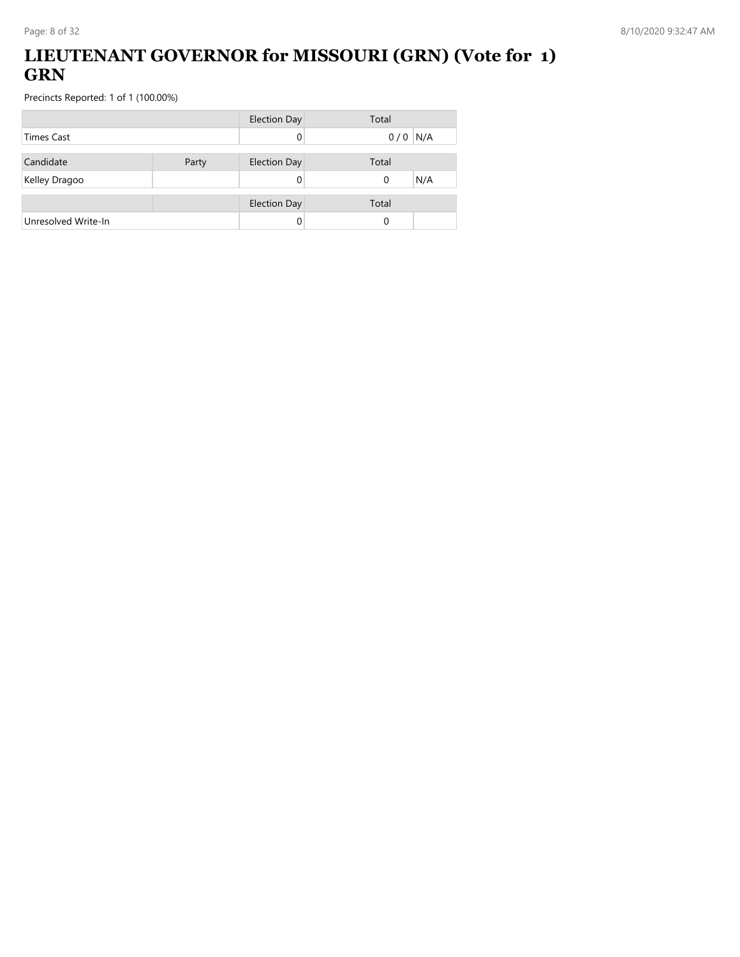## **LIEUTENANT GOVERNOR for MISSOURI (GRN) (Vote for 1) GRN**

|                     |       | <b>Election Day</b> | Total           |
|---------------------|-------|---------------------|-----------------|
| <b>Times Cast</b>   |       |                     | $0/0$ N/A       |
| Candidate           | Party | <b>Election Day</b> | Total           |
| Kelley Dragoo       |       |                     | N/A<br>$\Omega$ |
|                     |       |                     |                 |
|                     |       | <b>Election Day</b> | Total           |
| Unresolved Write-In |       |                     | 0               |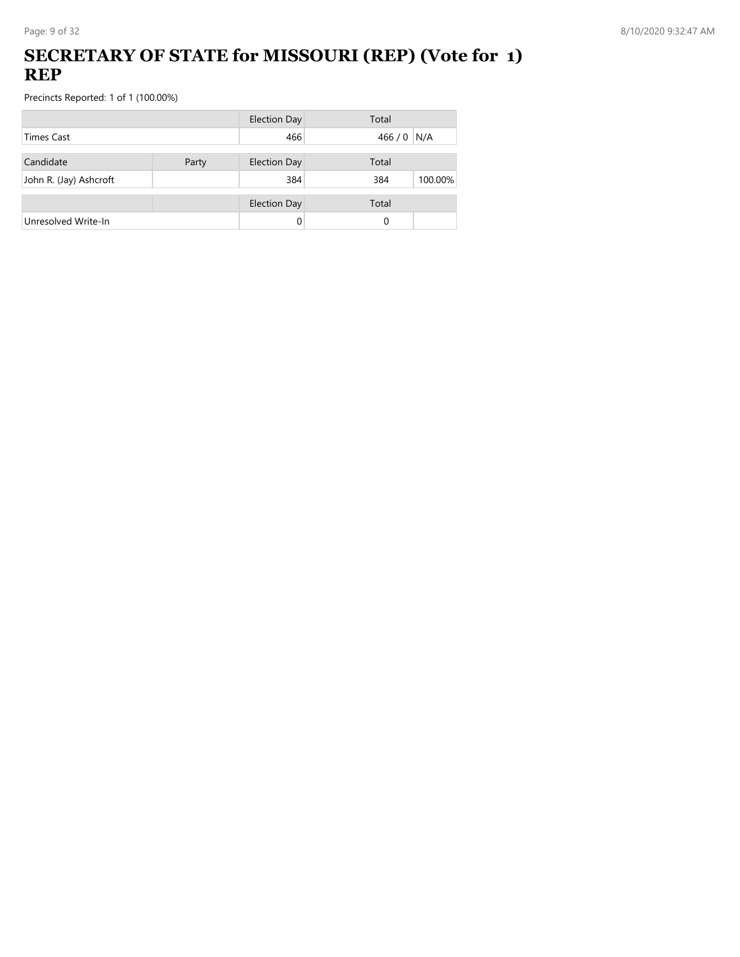## **SECRETARY OF STATE for MISSOURI (REP) (Vote for 1) REP**

|                        |       | <b>Election Day</b> | Total          |
|------------------------|-------|---------------------|----------------|
| <b>Times Cast</b>      |       | 466                 | 466 / 0 N/A    |
| Candidate              | Party | <b>Election Day</b> | Total          |
| John R. (Jay) Ashcroft |       | 384                 | 100.00%<br>384 |
|                        |       | <b>Election Day</b> | Total          |
| Unresolved Write-In    |       | 0                   | 0              |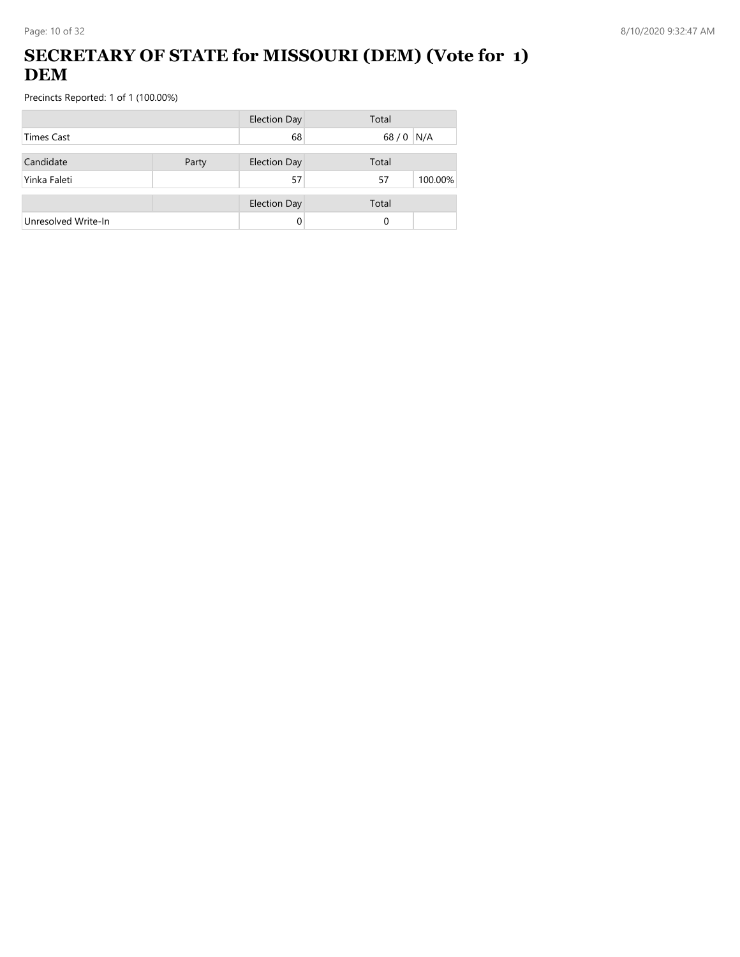## **SECRETARY OF STATE for MISSOURI (DEM) (Vote for 1) DEM**

|                     |       | <b>Election Day</b> | Total         |
|---------------------|-------|---------------------|---------------|
| Times Cast          |       | 68                  | $68/0$<br>N/A |
| Candidate           | Party | <b>Election Day</b> | Total         |
| Yinka Faleti        |       | 57                  | 100.00%<br>57 |
|                     |       | <b>Election Day</b> | Total         |
| Unresolved Write-In |       | 0                   | 0             |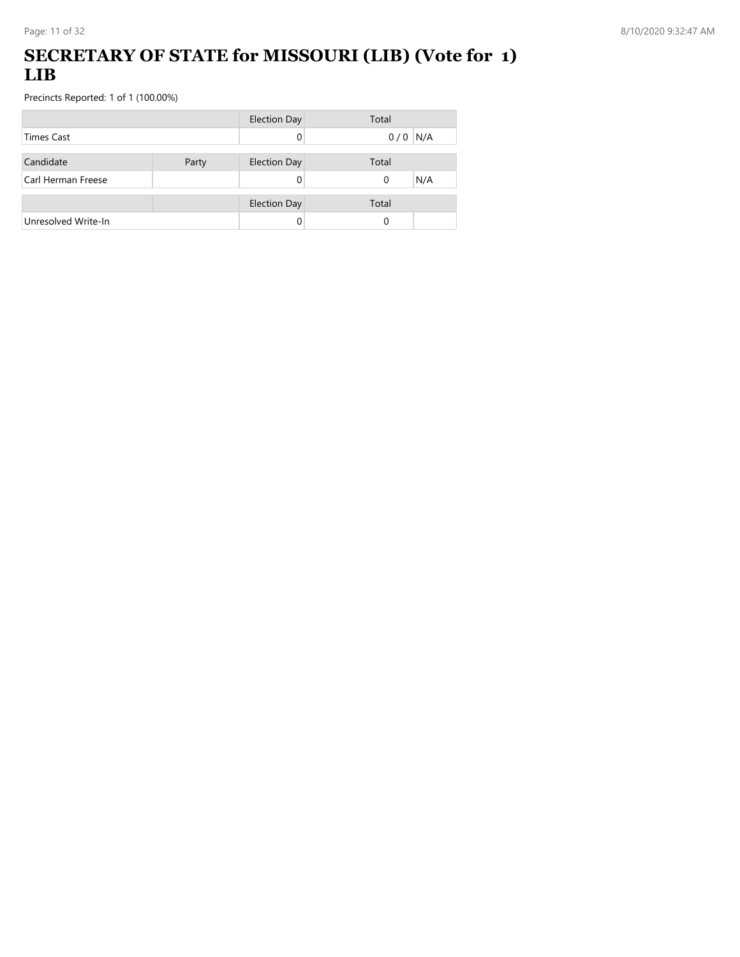## **SECRETARY OF STATE for MISSOURI (LIB) (Vote for 1) LIB**

|                     |       | <b>Election Day</b> | Total     |
|---------------------|-------|---------------------|-----------|
| <b>Times Cast</b>   |       |                     | $0/0$ N/A |
|                     |       |                     |           |
| Candidate           | Party | <b>Election Day</b> | Total     |
| Carl Herman Freese  |       |                     | N/A<br>0  |
|                     |       |                     |           |
|                     |       | <b>Election Day</b> | Total     |
| Unresolved Write-In |       |                     | 0         |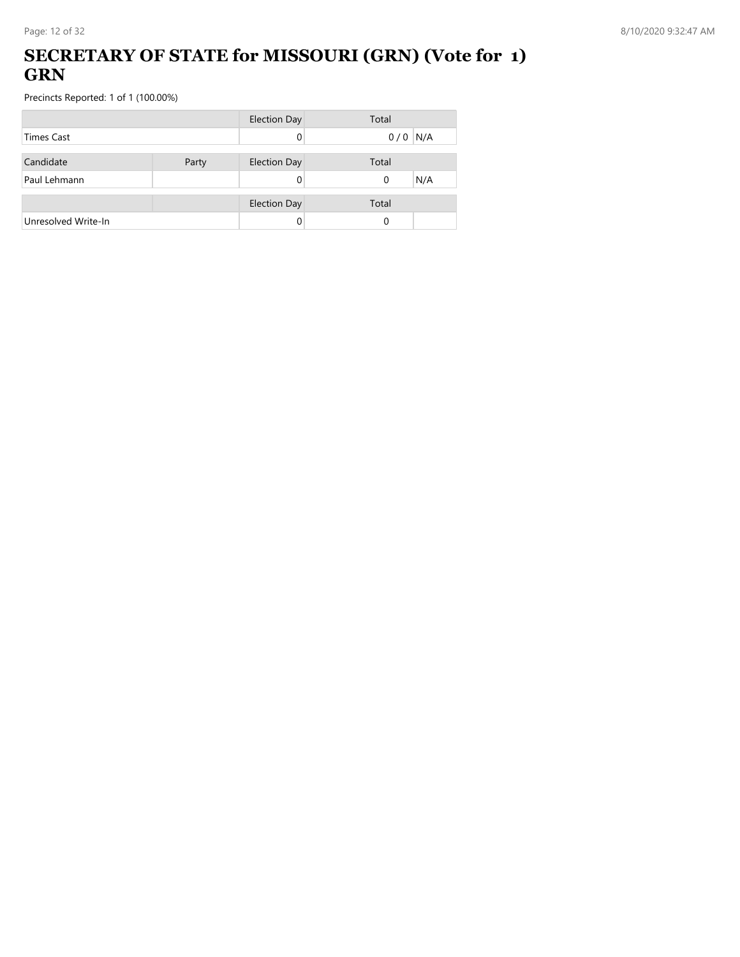### **SECRETARY OF STATE for MISSOURI (GRN) (Vote for 1) GRN**

|                     |       | <b>Election Day</b> | Total     |
|---------------------|-------|---------------------|-----------|
| Times Cast          |       |                     | $0/0$ N/A |
| Candidate           | Party | <b>Election Day</b> | Total     |
| Paul Lehmann        |       |                     | N/A<br>0  |
|                     |       |                     |           |
|                     |       | <b>Election Day</b> | Total     |
| Unresolved Write-In |       |                     | 0         |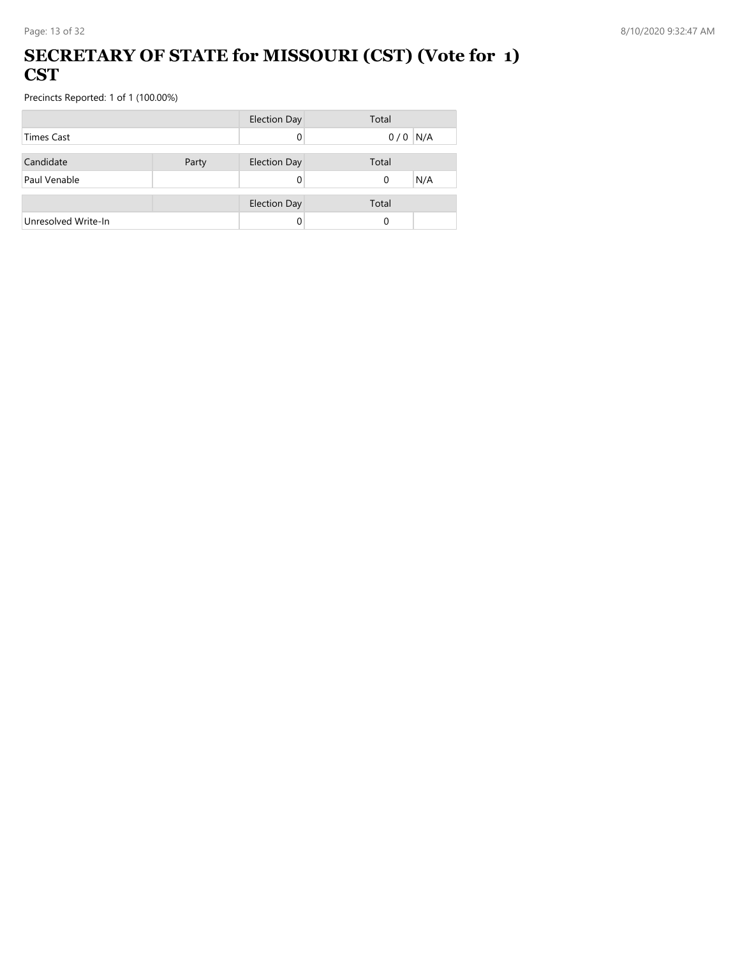#### **SECRETARY OF STATE for MISSOURI (CST) (Vote for 1) CST**

|                     |       | <b>Election Day</b> | Total     |
|---------------------|-------|---------------------|-----------|
| <b>Times Cast</b>   |       |                     | $0/0$ N/A |
|                     |       |                     |           |
| Candidate           | Party | <b>Election Day</b> | Total     |
| Paul Venable        |       |                     | N/A<br>0  |
|                     |       |                     |           |
|                     |       | <b>Election Day</b> | Total     |
| Unresolved Write-In |       |                     | $\Omega$  |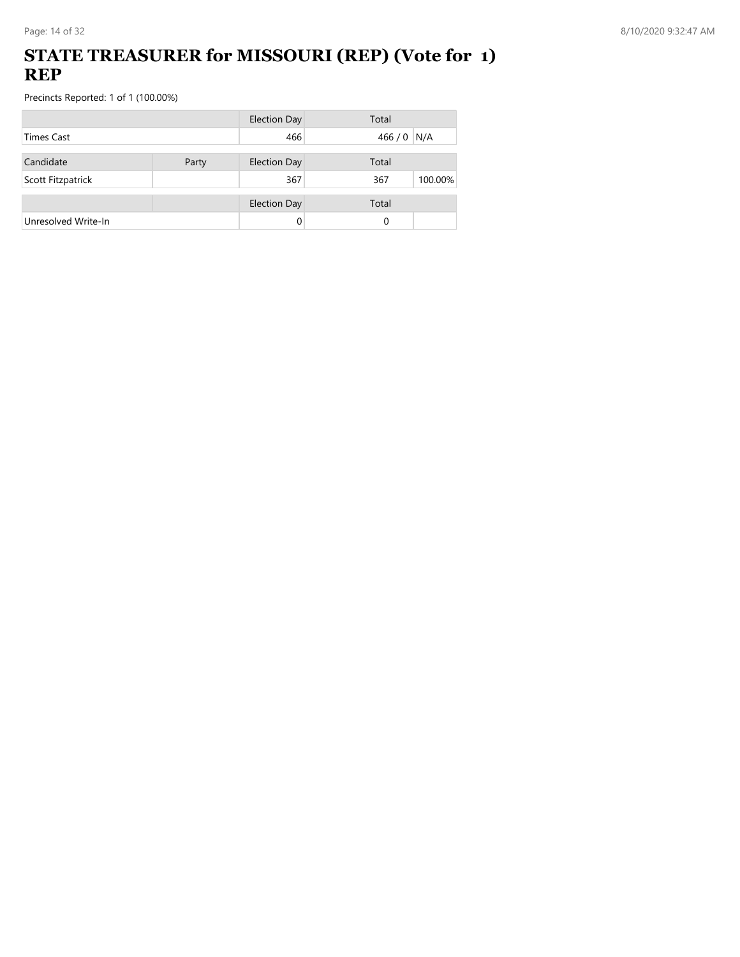#### **STATE TREASURER for MISSOURI (REP) (Vote for 1) REP**

|                   |       | Total                                                                    |                               |
|-------------------|-------|--------------------------------------------------------------------------|-------------------------------|
| <b>Times Cast</b> |       |                                                                          |                               |
|                   |       |                                                                          |                               |
|                   | 367   | 367                                                                      | 100.00%                       |
|                   |       |                                                                          |                               |
|                   |       | 0                                                                        |                               |
|                   | Party | <b>Election Day</b><br>466<br><b>Election Day</b><br><b>Election Day</b> | 466 / 0 N/A<br>Total<br>Total |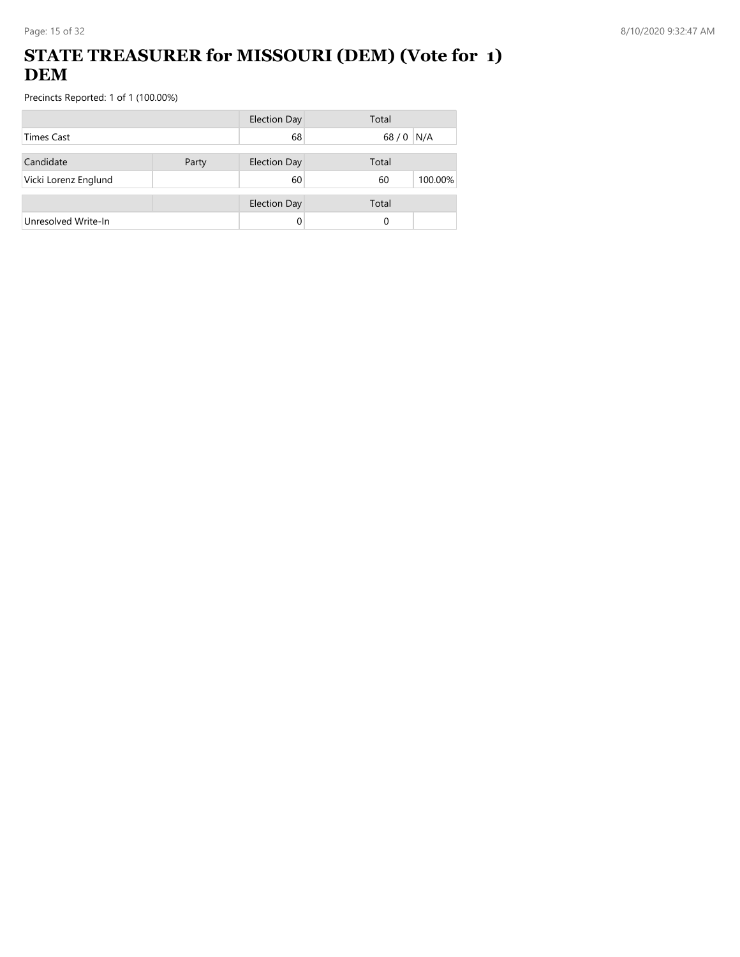## **STATE TREASURER for MISSOURI (DEM) (Vote for 1) DEM**

|                      |       | <b>Election Day</b> | Total         |
|----------------------|-------|---------------------|---------------|
| <b>Times Cast</b>    |       | 68                  | 68/0<br>N/A   |
| Candidate            | Party | <b>Election Day</b> | Total         |
| Vicki Lorenz Englund |       | 60                  | 100.00%<br>60 |
|                      |       | <b>Election Day</b> | Total         |
| Unresolved Write-In  |       |                     | 0             |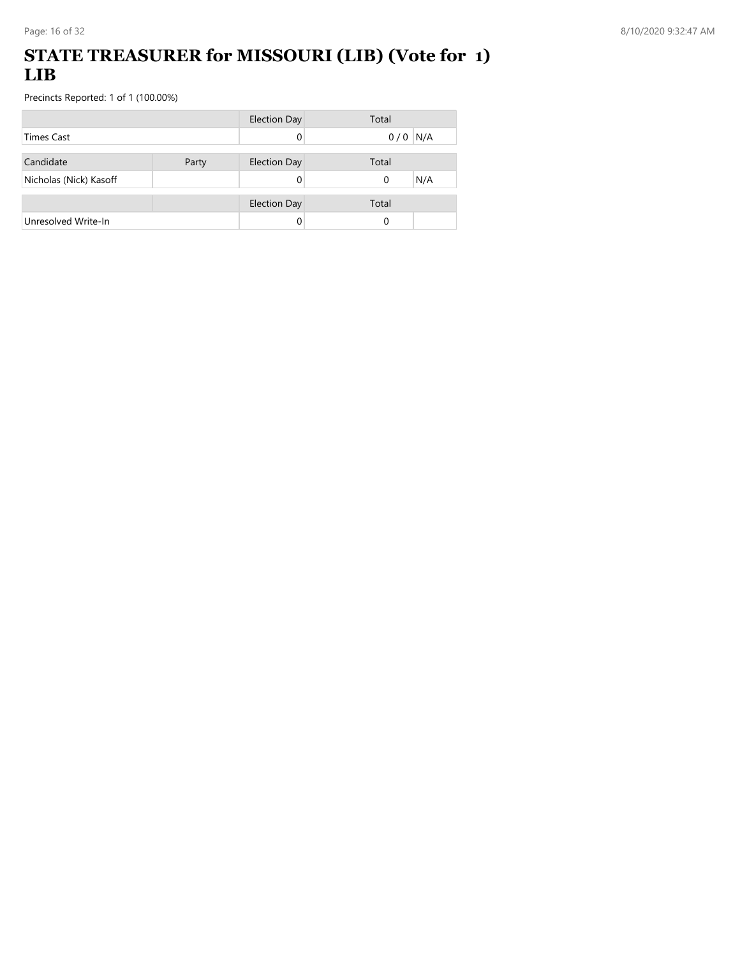### **STATE TREASURER for MISSOURI (LIB) (Vote for 1) LIB**

|                        |       | <b>Election Day</b> | Total     |     |
|------------------------|-------|---------------------|-----------|-----|
| <b>Times Cast</b>      |       |                     | $0/0$ N/A |     |
|                        |       |                     |           |     |
| Candidate              | Party | <b>Election Day</b> | Total     |     |
| Nicholas (Nick) Kasoff |       |                     | 0         | N/A |
|                        |       |                     |           |     |
|                        |       | <b>Election Day</b> | Total     |     |
| Unresolved Write-In    |       |                     | 0         |     |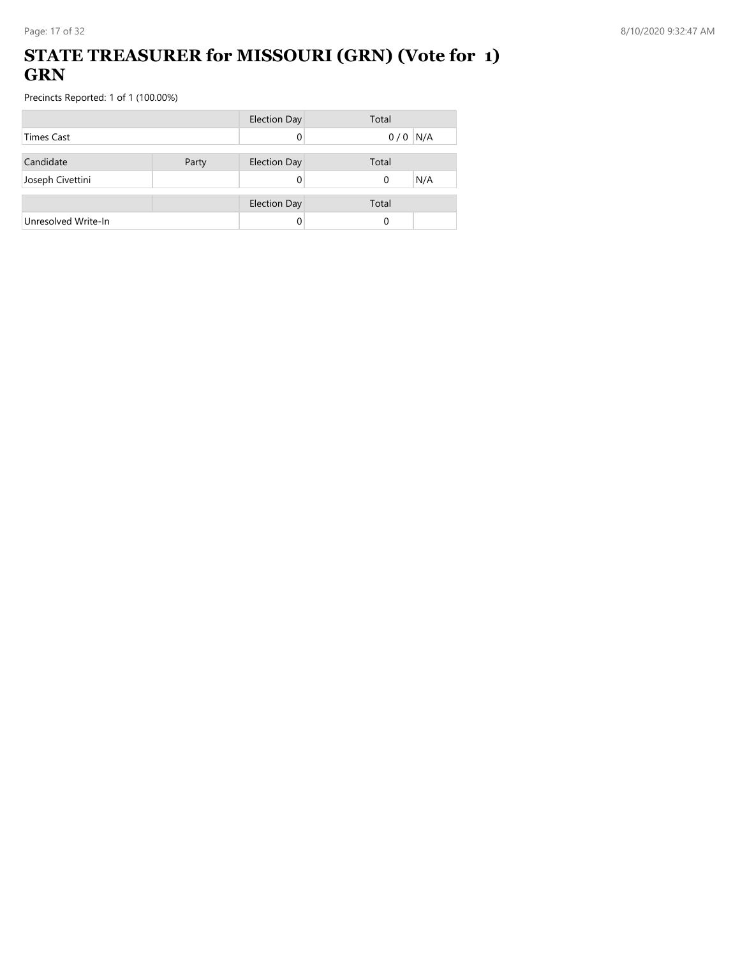### **STATE TREASURER for MISSOURI (GRN) (Vote for 1) GRN**

|                     |       | <b>Election Day</b> | Total           |
|---------------------|-------|---------------------|-----------------|
| <b>Times Cast</b>   |       |                     | $0/0$ N/A       |
| Candidate           | Party | <b>Election Day</b> | Total           |
| Joseph Civettini    |       |                     | N/A<br>$\Omega$ |
|                     |       |                     |                 |
|                     |       | <b>Election Day</b> | Total           |
| Unresolved Write-In |       |                     | 0               |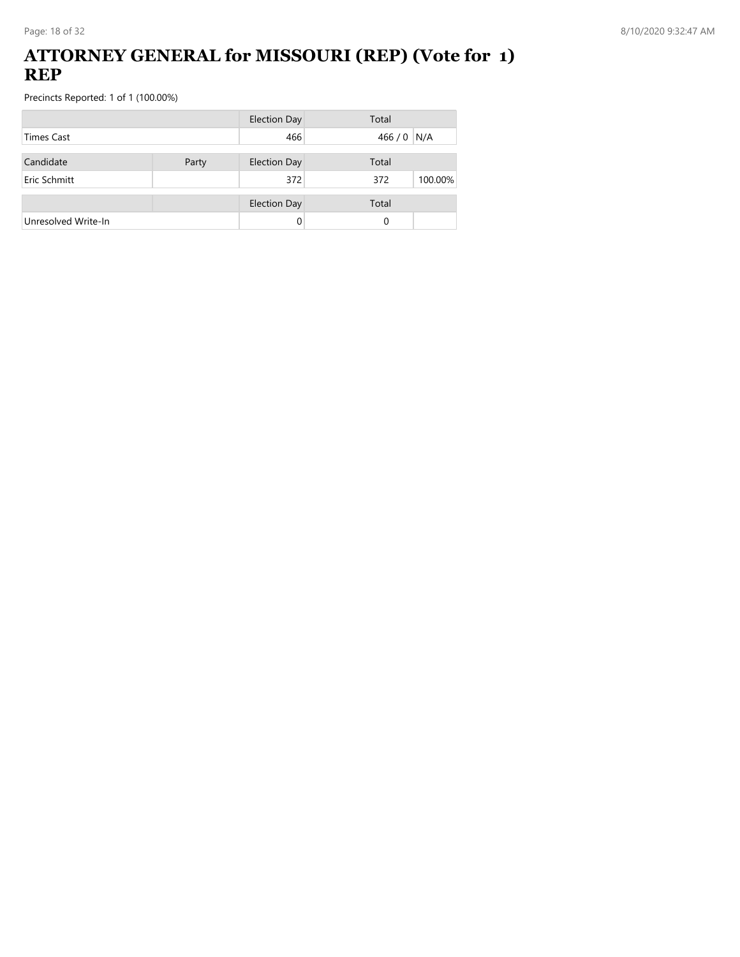#### **ATTORNEY GENERAL for MISSOURI (REP) (Vote for 1) REP**

|                     |       | <b>Election Day</b> | Total          |
|---------------------|-------|---------------------|----------------|
| <b>Times Cast</b>   |       | 466                 | 466 / 0 N/A    |
| Candidate           | Party | <b>Election Day</b> | Total          |
| Eric Schmitt        |       | 372                 | 100.00%<br>372 |
|                     |       | <b>Election Day</b> | Total          |
| Unresolved Write-In |       | 0                   | 0              |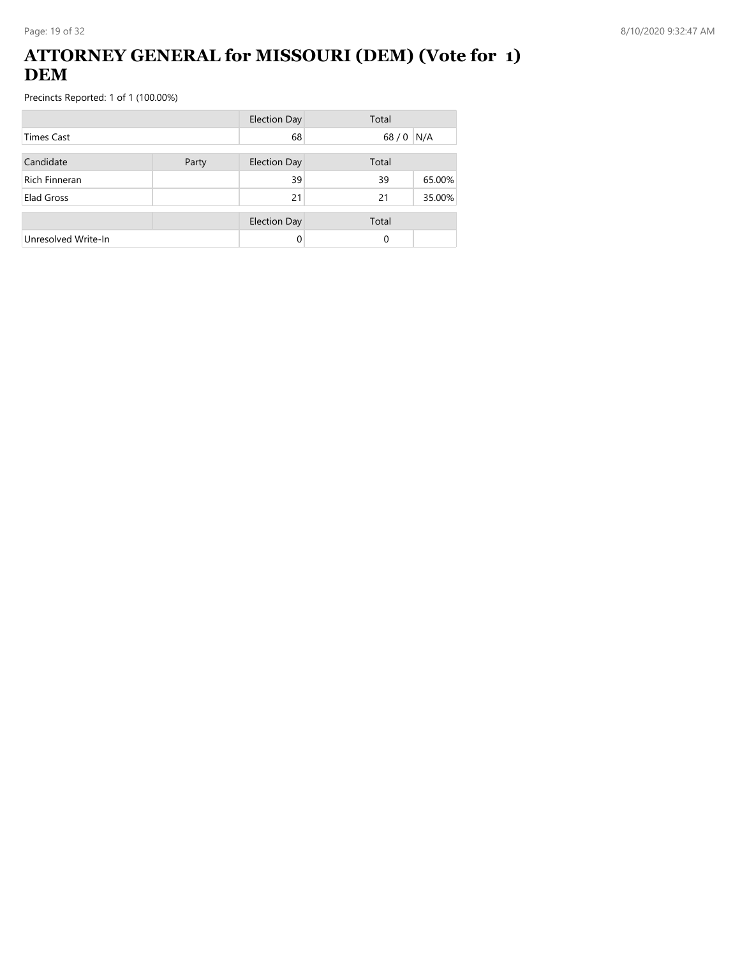### **ATTORNEY GENERAL for MISSOURI (DEM) (Vote for 1) DEM**

|                      |       | <b>Election Day</b> | Total  |        |
|----------------------|-------|---------------------|--------|--------|
| <b>Times Cast</b>    |       | 68                  | $68/0$ | N/A    |
| Candidate            | Party | <b>Election Day</b> | Total  |        |
| <b>Rich Finneran</b> |       | 39                  | 39     | 65.00% |
| Elad Gross           |       | 21                  | 21     | 35.00% |
|                      |       | <b>Election Day</b> | Total  |        |
| Unresolved Write-In  |       | 0                   | 0      |        |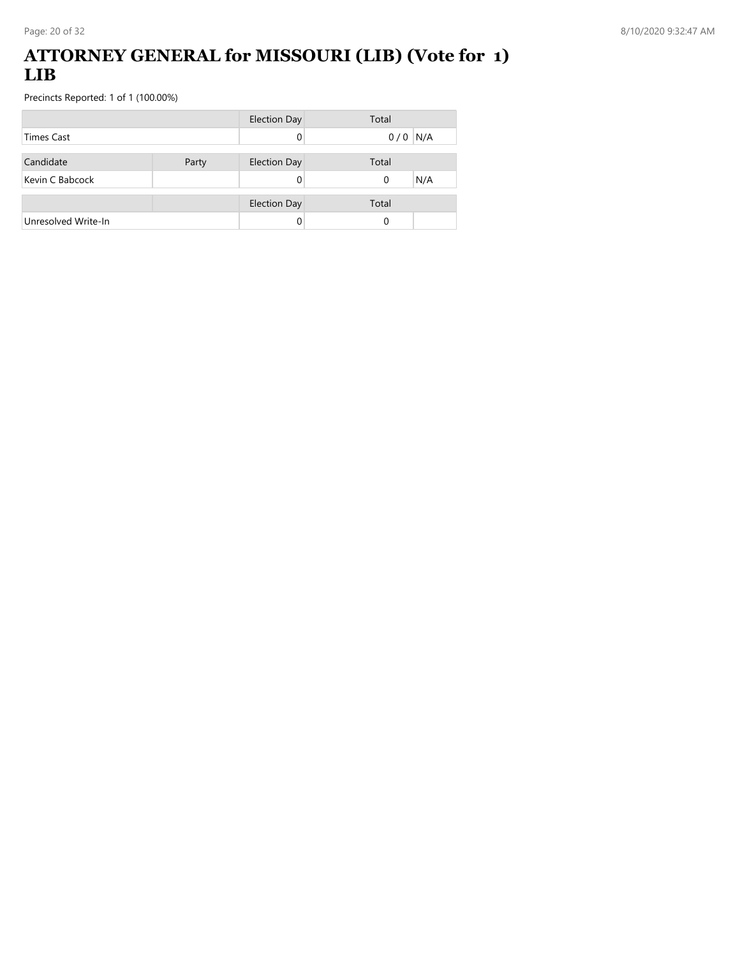#### **ATTORNEY GENERAL for MISSOURI (LIB) (Vote for 1) LIB**

|                     |       | <b>Election Day</b> | Total           |
|---------------------|-------|---------------------|-----------------|
| <b>Times Cast</b>   |       |                     | $0/0$ N/A       |
|                     |       |                     |                 |
| Candidate           | Party | <b>Election Day</b> | Total           |
| Kevin C Babcock     |       |                     | N/A<br>$\Omega$ |
|                     |       |                     |                 |
|                     |       | <b>Election Day</b> | Total           |
| Unresolved Write-In |       |                     | 0               |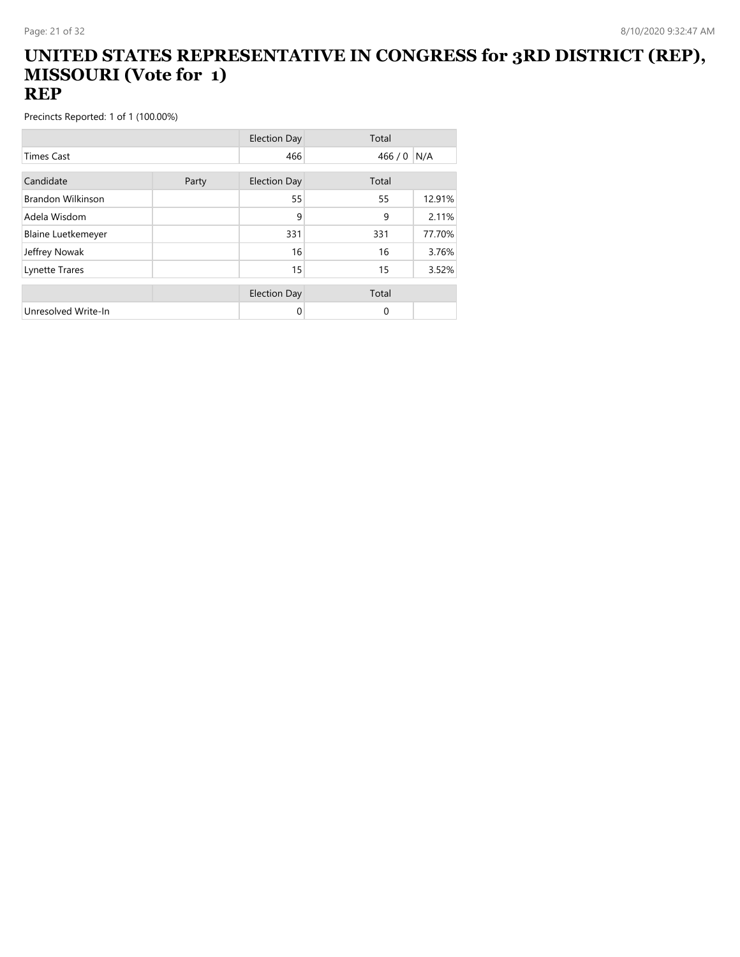#### **UNITED STATES REPRESENTATIVE IN CONGRESS for 3RD DISTRICT (REP), MISSOURI (Vote for 1) REP**

|                           |       | <b>Election Day</b> | Total    |        |
|---------------------------|-------|---------------------|----------|--------|
| <b>Times Cast</b>         |       | 466                 | 466/0    | N/A    |
| Candidate                 |       |                     |          |        |
|                           | Party | <b>Election Day</b> | Total    |        |
| <b>Brandon Wilkinson</b>  |       | 55                  | 55       | 12.91% |
| Adela Wisdom              |       | 9                   | 9        | 2.11%  |
| <b>Blaine Luetkemeyer</b> |       | 331                 | 331      | 77.70% |
| Jeffrey Nowak             |       | 16                  | 16       | 3.76%  |
| Lynette Trares            |       | 15                  | 15       | 3.52%  |
|                           |       |                     |          |        |
|                           |       | <b>Election Day</b> | Total    |        |
| Unresolved Write-In       |       | 0                   | $\Omega$ |        |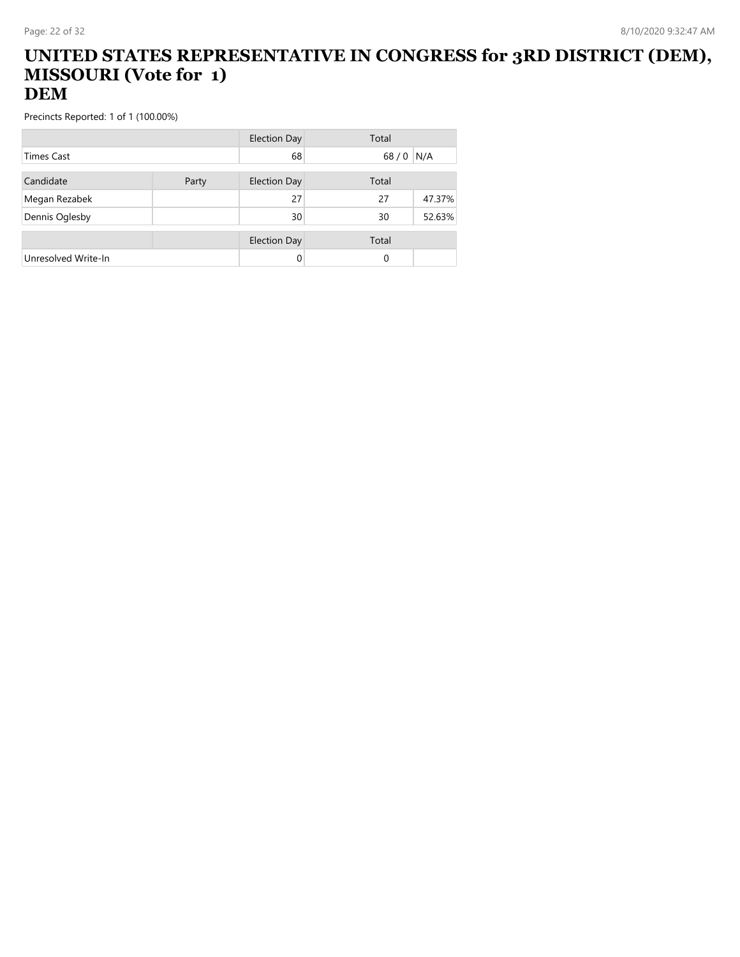#### **UNITED STATES REPRESENTATIVE IN CONGRESS for 3RD DISTRICT (DEM), MISSOURI (Vote for 1) DEM**

|                     |       | Election Day        | Total    |        |
|---------------------|-------|---------------------|----------|--------|
| <b>Times Cast</b>   |       | 68                  | 68/0     | N/A    |
| Candidate           | Party | <b>Election Day</b> | Total    |        |
| Megan Rezabek       |       | 27                  | 27       | 47.37% |
| Dennis Oglesby      |       | 30                  | 30       | 52.63% |
|                     |       |                     |          |        |
|                     |       | <b>Election Day</b> | Total    |        |
| Unresolved Write-In |       | 0                   | $\Omega$ |        |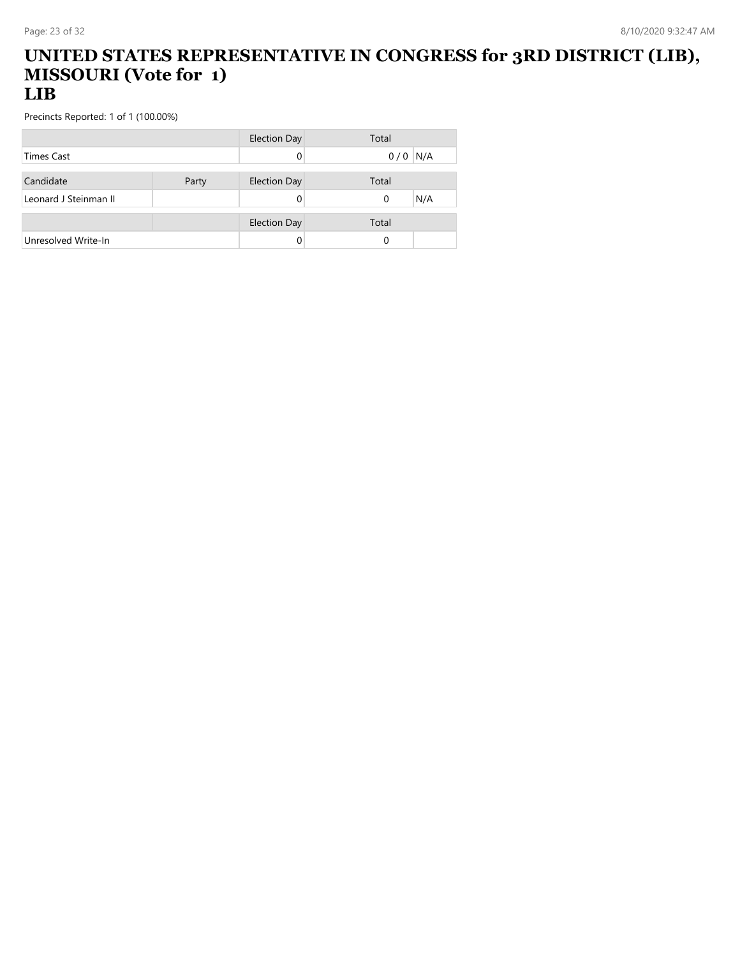#### **UNITED STATES REPRESENTATIVE IN CONGRESS for 3RD DISTRICT (LIB), MISSOURI (Vote for 1) LIB**

|                       |       | <b>Election Day</b> | Total      |
|-----------------------|-------|---------------------|------------|
| <b>Times Cast</b>     |       |                     | N/A<br>0/0 |
|                       |       |                     |            |
| Candidate             | Party | <b>Election Day</b> | Total      |
| Leonard J Steinman II |       |                     | N/A<br>0   |
|                       |       |                     |            |
|                       |       | <b>Election Day</b> | Total      |
| Unresolved Write-In   |       |                     |            |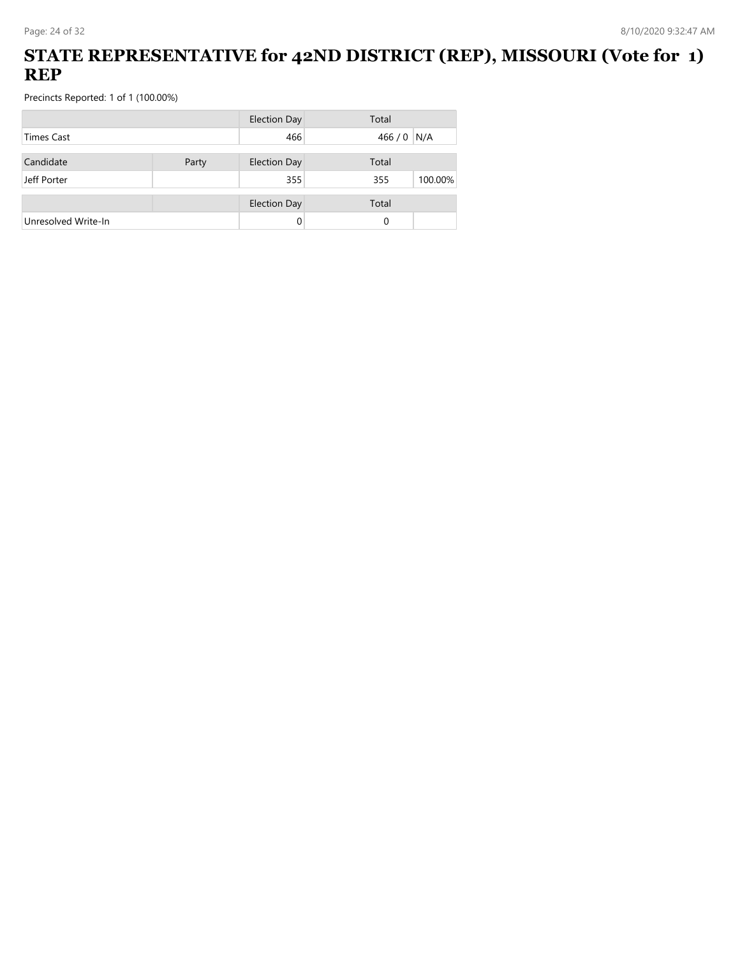## **STATE REPRESENTATIVE for 42ND DISTRICT (REP), MISSOURI (Vote for 1) REP**

|                     |       | <b>Election Day</b> | Total   |         |
|---------------------|-------|---------------------|---------|---------|
| <b>Times Cast</b>   |       | 466                 | 466 / 0 | N/A     |
| Candidate           | Party | <b>Election Day</b> | Total   |         |
| Jeff Porter         |       | 355                 |         |         |
|                     |       |                     | 355     | 100.00% |
|                     |       | <b>Election Day</b> | Total   |         |
| Unresolved Write-In |       |                     | 0       |         |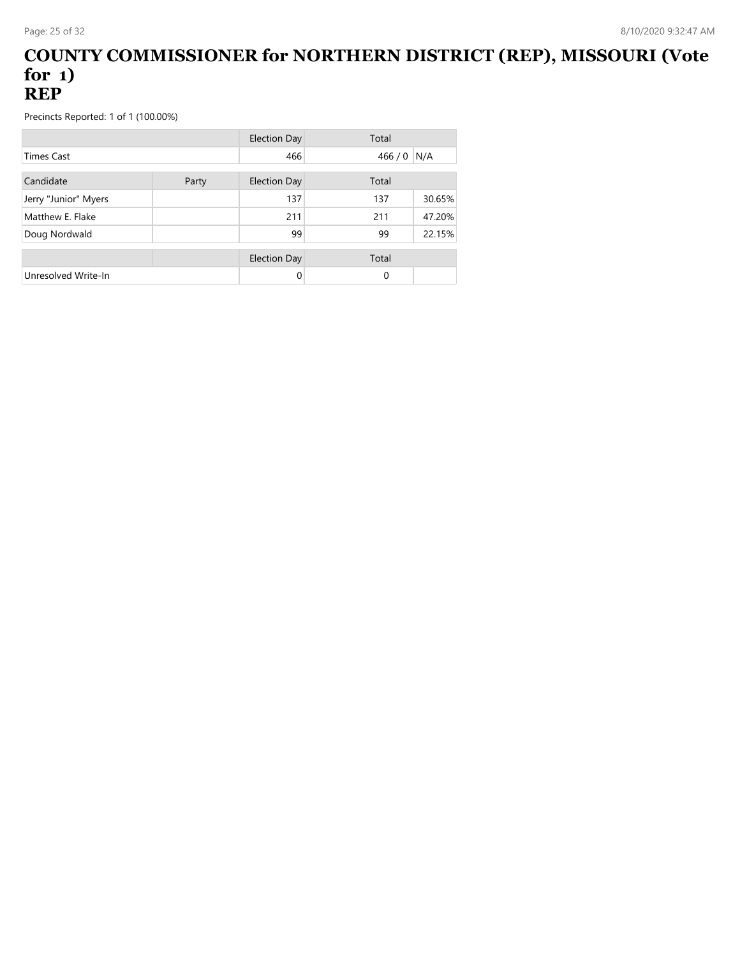#### **COUNTY COMMISSIONER for NORTHERN DISTRICT (REP), MISSOURI (Vote for 1) REP**

|                      |       | <b>Election Day</b> | Total         |
|----------------------|-------|---------------------|---------------|
| <b>Times Cast</b>    |       | 466                 | N/A<br>466/0  |
| Candidate            | Party | <b>Election Day</b> | Total         |
| Jerry "Junior" Myers |       | 137                 | 30.65%<br>137 |
| Matthew E. Flake     |       | 211                 | 47.20%<br>211 |
| Doug Nordwald        |       | 99                  | 22.15%<br>99  |
|                      |       | <b>Election Day</b> | Total         |
| Unresolved Write-In  |       |                     | 0             |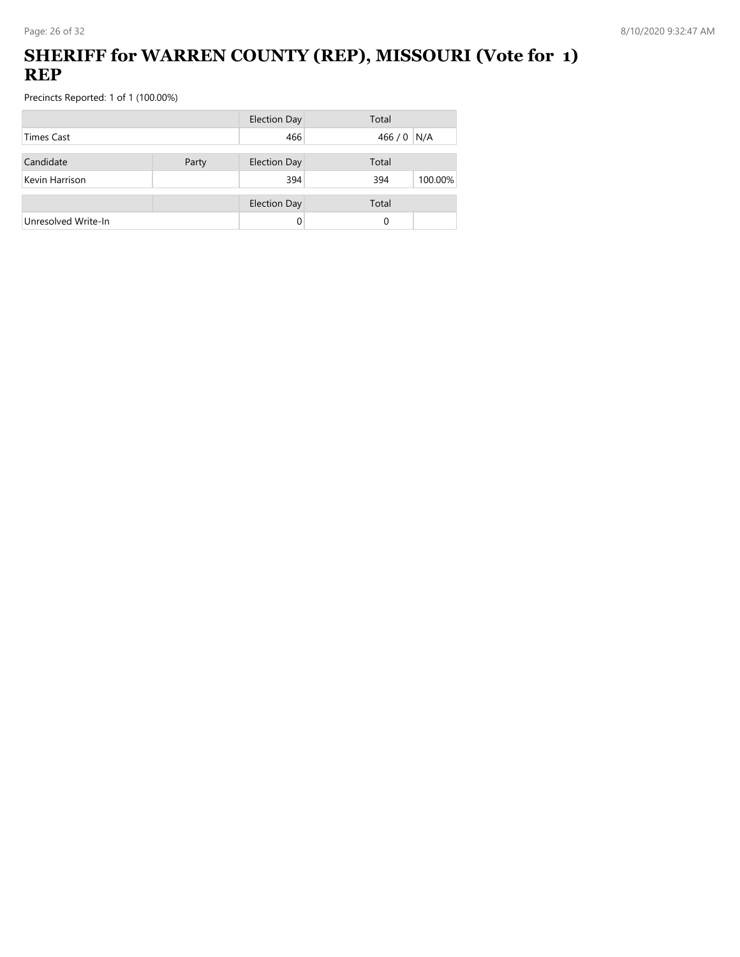## **SHERIFF for WARREN COUNTY (REP), MISSOURI (Vote for 1) REP**

|                     |       | <b>Election Day</b> | Total          |
|---------------------|-------|---------------------|----------------|
| Times Cast          |       | 466                 | 466 / 0 N/A    |
| Candidate           | Party | <b>Election Day</b> | Total          |
| Kevin Harrison      |       | 394                 | 394<br>100.00% |
|                     |       | <b>Election Day</b> | Total          |
| Unresolved Write-In |       | 0                   | 0              |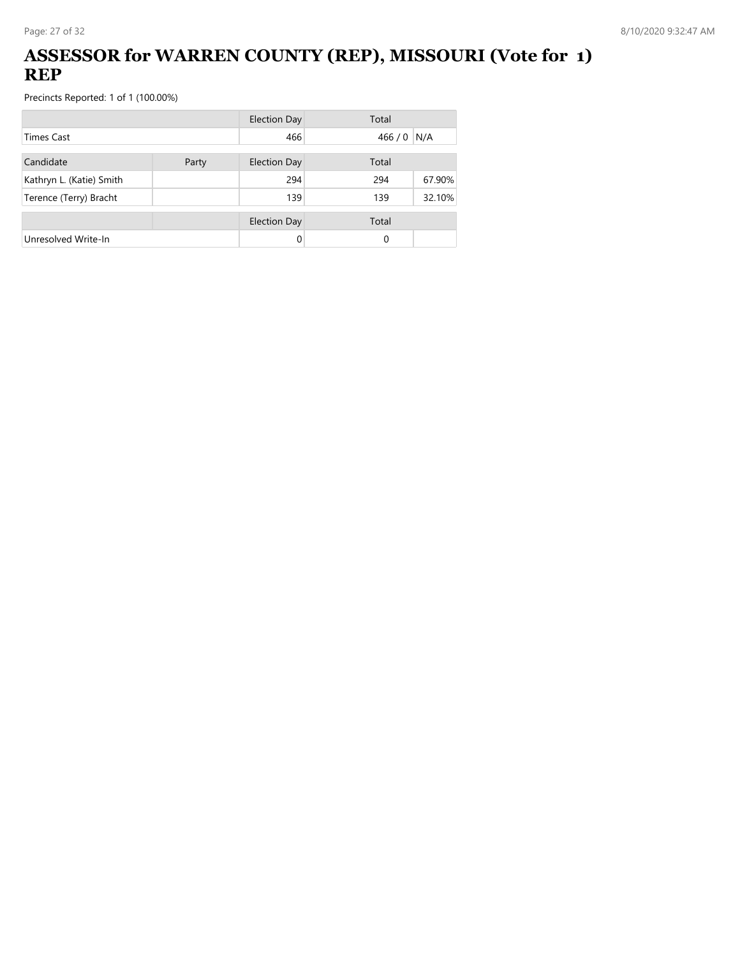## **ASSESSOR for WARREN COUNTY (REP), MISSOURI (Vote for 1) REP**

|                          |  | <b>Election Day</b> | Total   |        |  |
|--------------------------|--|---------------------|---------|--------|--|
| <b>Times Cast</b>        |  | 466                 | 466 / 0 | N/A    |  |
| Candidate<br>Party       |  | Election Day        | Total   |        |  |
| Kathryn L. (Katie) Smith |  | 294                 | 294     | 67.90% |  |
| Terence (Terry) Bracht   |  | 139                 | 139     | 32.10% |  |
|                          |  | <b>Election Day</b> | Total   |        |  |
| Unresolved Write-In      |  |                     | 0       |        |  |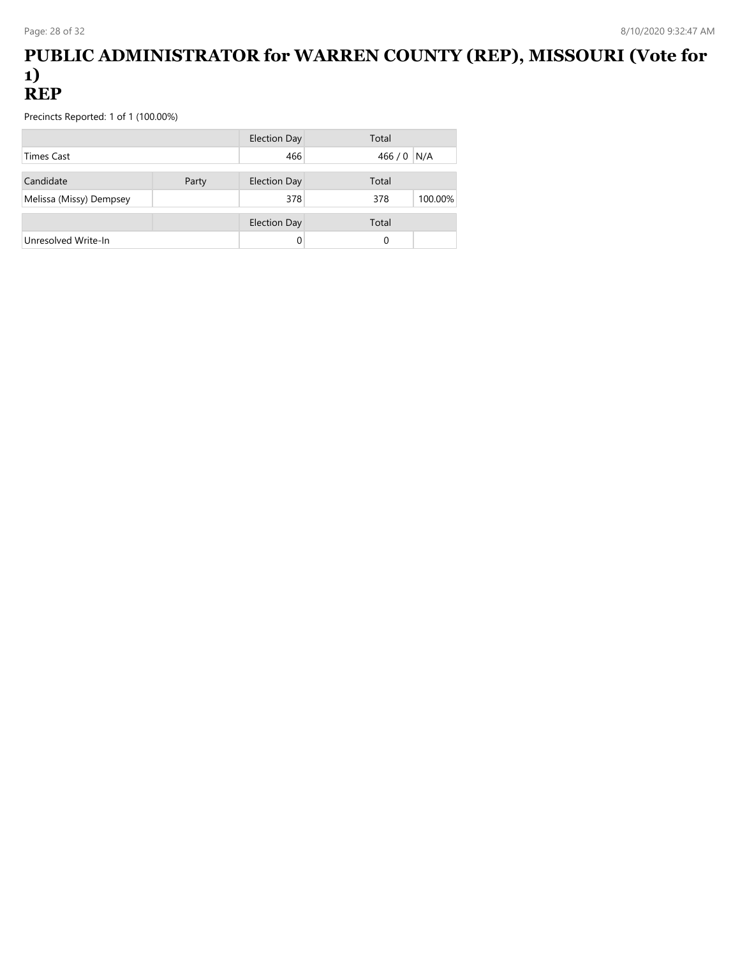#### **PUBLIC ADMINISTRATOR for WARREN COUNTY (REP), MISSOURI (Vote for 1) REP**

|                         |       | Election Day        | Total       |         |
|-------------------------|-------|---------------------|-------------|---------|
| <b>Times Cast</b>       |       | 466                 | 466 / 0 N/A |         |
| Candidate               | Party | <b>Election Day</b> | Total       |         |
| Melissa (Missy) Dempsey |       | 378                 | 378         | 100.00% |
|                         |       | <b>Election Day</b> | Total       |         |
| Unresolved Write-In     |       |                     | 0           |         |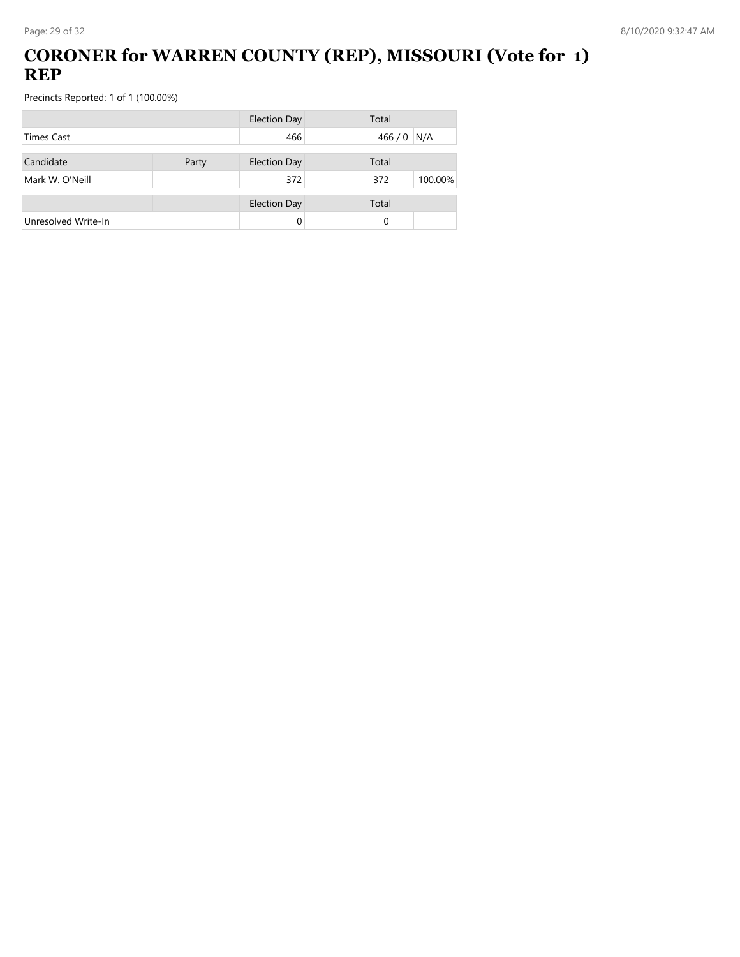## **CORONER for WARREN COUNTY (REP), MISSOURI (Vote for 1) REP**

|                     |       | <b>Election Day</b> | Total          |
|---------------------|-------|---------------------|----------------|
| <b>Times Cast</b>   |       | 466                 | 466 / 0 N/A    |
| Candidate           | Party | <b>Election Day</b> | Total          |
| Mark W. O'Neill     |       | 372                 | 372<br>100.00% |
|                     |       | <b>Election Day</b> | Total          |
| Unresolved Write-In |       | 0                   | 0              |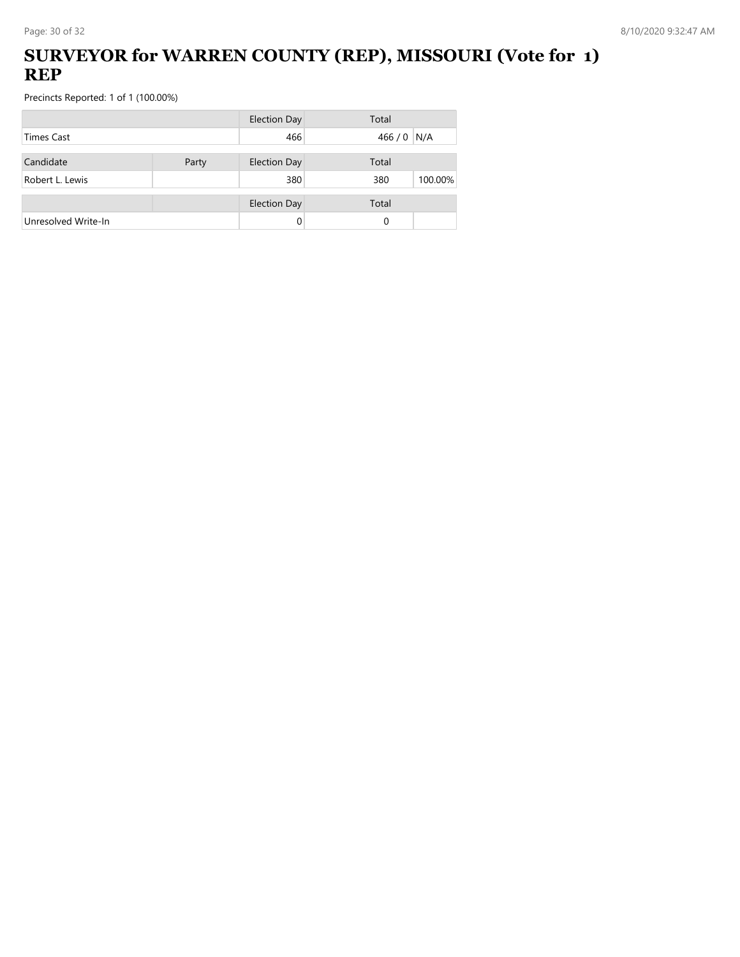## **SURVEYOR for WARREN COUNTY (REP), MISSOURI (Vote for 1) REP**

|                     |       | <b>Election Day</b> | Total          |
|---------------------|-------|---------------------|----------------|
| Times Cast          |       | 466                 | 466 / 0 N/A    |
| Candidate           | Party | <b>Election Day</b> | Total          |
| Robert L. Lewis     |       | 380                 | 380<br>100.00% |
|                     |       | <b>Election Day</b> | Total          |
| Unresolved Write-In |       |                     | 0              |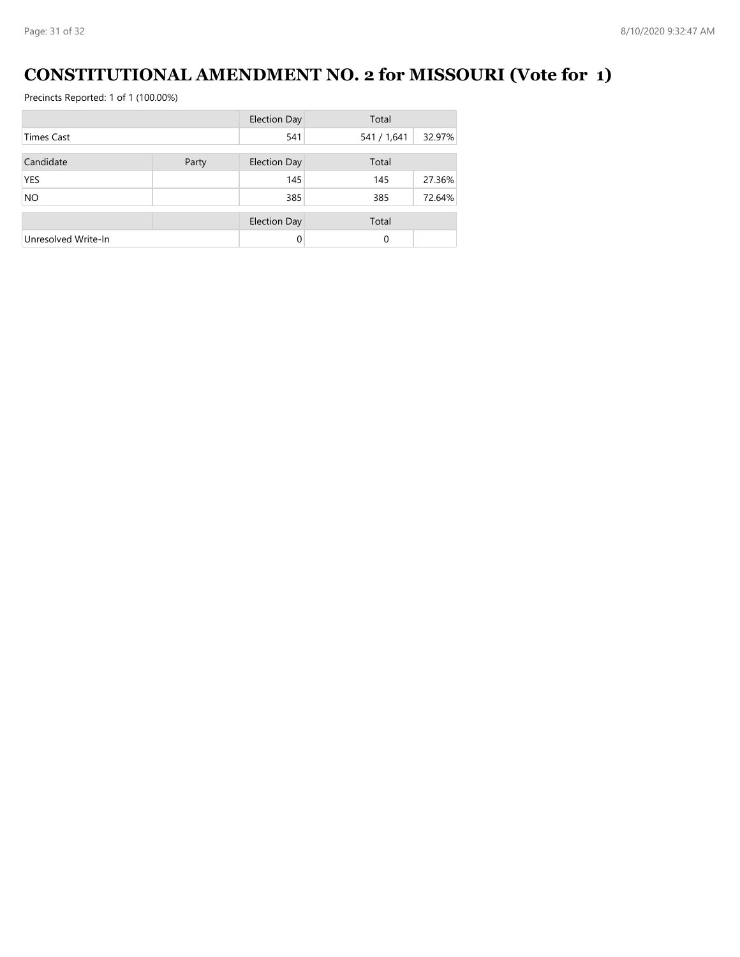# **CONSTITUTIONAL AMENDMENT NO. 2 for MISSOURI (Vote for 1)**

|                     |       | <b>Election Day</b> | Total       |        |
|---------------------|-------|---------------------|-------------|--------|
| <b>Times Cast</b>   |       | 541                 | 541 / 1,641 | 32.97% |
| Candidate           | Party | <b>Election Day</b> | Total       |        |
| <b>YES</b>          |       | 145                 | 145         | 27.36% |
| <b>NO</b>           |       | 385                 | 385         | 72.64% |
|                     |       |                     |             |        |
|                     |       | <b>Election Day</b> | Total       |        |
| Unresolved Write-In |       | $\Omega$            | 0           |        |